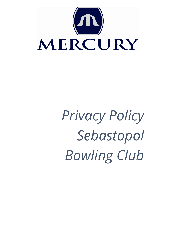

*Privacy Policy Sebastopol Bowling Club*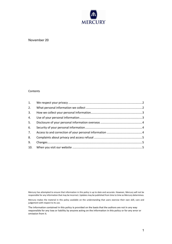

# November 20

#### Contents

| 2. |  |
|----|--|
| 3. |  |
| 4. |  |
| 5. |  |
| 6. |  |
| 7. |  |
| 8. |  |
| 9. |  |
|    |  |

Mercury has attempted to ensure that information in this policy is up to date and accurate. However, Mercury will not be responsible for any information that may be incorrect. Updates may be published from time to time as Mercury determines.

Mercury makes the material in this policy available on the understanding that users exercise their own skill, care and judgement with respect to its use.

The information contained in this policy is provided on the basis that the authors are not in any way responsible for any loss or liability by anyone acting on the information in this policy or for any error or omission from it.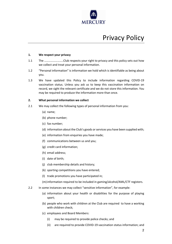

# Privacy Policy

# **1. We respect your privacy**

- 1.1 The ……………………..Club respects your right to privacy and this policy sets out how we collect and treat your personal information.
- 1.2 "Personal information" is information we hold which is identifiable as being about you.
- 1.3 We have updated this Policy to include information regarding COVID-19 vaccination status. Unless you ask us to keep this vaccination information on record, we sight the relevant certificate and we do not store this information. You may be required to produce the information more than once.

# **2. What personal information we collect**

- 2.1 We may collect the following types of personal information from you:
	- (a) name;
	- (b) phone number;
	- (c) fax number;
	- (d) information about the Club's goods or services you have been supplied with;
	- (e) information from enquiries you have made;
	- (f) communications between us and you;
	- (g) credit card information;
	- (h) email address;
	- (i) date of birth;
	- (j) club membership details and history;
	- (k) sporting competitions you have entered;
	- (l) trade promotions you have participated in;

(m)information required to be included in gaming/alcohol/AML/CTF registers.

- 2.2 In some instances we may collect "sensitive information", for example:
	- (a) information about your health or disabilities for the purpose of playing sport;
	- (b) people who work with children at the Club are required to have a working with children check;
	- (c) employees and Board Members:
		- (i) may be required to provide police checks; and
		- (ii) are required to provide COVID-19 vaccination status information; and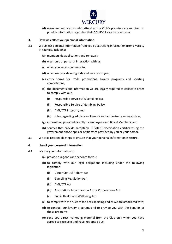

(d) members and visitors who attend at the Club's premises are required to provide information regarding their COVID-19 vaccination status.

# **3. How we collect your personal information**

- 3.1 We collect personal information from you by extracting information from a variety of sources, including:
	- (a) membership applications and renewals;
	- (b) electronic or personal interaction with us;
	- (c) when you access our website;
	- (d) when we provide our goods and services to you;
	- (e) entry forms for trade promotions, loyalty programs and sporting competitions;
	- (f) the documents and information we are legally required to collect in order to comply with our:
		- (i) Responsible Service of Alcohol Policy;
		- (ii) Responsible Service of Gambling Policy;
		- (iii) AML/CTF Program; and
		- (iv) rules regarding admission of guests and authorised gaming visitors;
	- (g) information provided directly by employees and Board Members; and
	- (h) sources that provide acceptable COVID-19 vaccination certificates eg the government phone apps or certificates provided by you or your doctor.
- 3.2 We take reasonable steps to ensure that your personal information is secure.

# **4. Use of your personal information**

- 4.1 We use your information to:
	- (a) provide our goods and services to you;
	- (b) to comply with our legal obligations including under the following legislation:
		- (i) Liquor Control Reform Act
		- (ii) Gambling Regulation Act;
		- (iii) AML/CTF Act
		- (iv) Associations Incorporation Act or Corporations Act
		- (v) Public Health and Wellbeing Act;
	- (c) to comply with the rules of the peak sporting bodies we are associated with;
	- (d) to conduct our loyalty programs and to provide you with the benefits of those programs;
	- (e) send you direct marketing material from the Club only when you have agreed to receive it and have not opted out;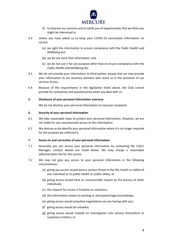

- (f) to improve our services and to notify you of opportunities that we think you might be interested in.
- 4.2 Unless you have asked us to keep your COVID-19 vaccination information on record:
	- (a) we sight the information to ensure compliance with the *Public Health and Wellbeing Act;*
	- (b) we do not store that information; and
	- (c) we do not use it for any purpose other than to ensure compliance with the *Public Health and Wellbeing Act*
- 4.3 We do not provide your information to third parties, except that we may provide your information to our business partners who assist us in the provision of our services to you.
- 4.4 Because of the requirements in the legislation listed above, the Club cannot provide for anonymity and pseudonymity when you deal with us.

#### **5. Disclosure of your personal information overseas**

We do not disclose your personal information to overseas recipients.

#### **6. Security of your personal information**

- 6.1 We take reasonable steps to protect your personal information. However, we are not liable for any unauthorised access to this information.
- 6.2 We destroy or de-identify your personal information when it is no longer required for the purpose we collected it.

#### **7. Access to and correction of your personal information**

- 7.1 Generally you can access your personal information by contacting the Club's Manager, contact details are listed below. We may charge a reasonable administration fee for this access.
- 7.2 We may not give you access to your personal information in the following circumstances:
	- (a) giving you access would pose a serious threat to the life, health or safety of any individual or to public health or public safety; or
	- (b) giving access would have an unreasonable impact on the privacy of other individuals;
	- (c) the request for access is frivolous or vexatious;
	- (d) the information relates to existing or anticipated legal proceedings;
	- (e) giving access would prejudice negotiations we are having with you;
	- (f) giving access would be unlawful;
	- (g) giving access would impede an investigation into serious misconduct or suspicious matters; or